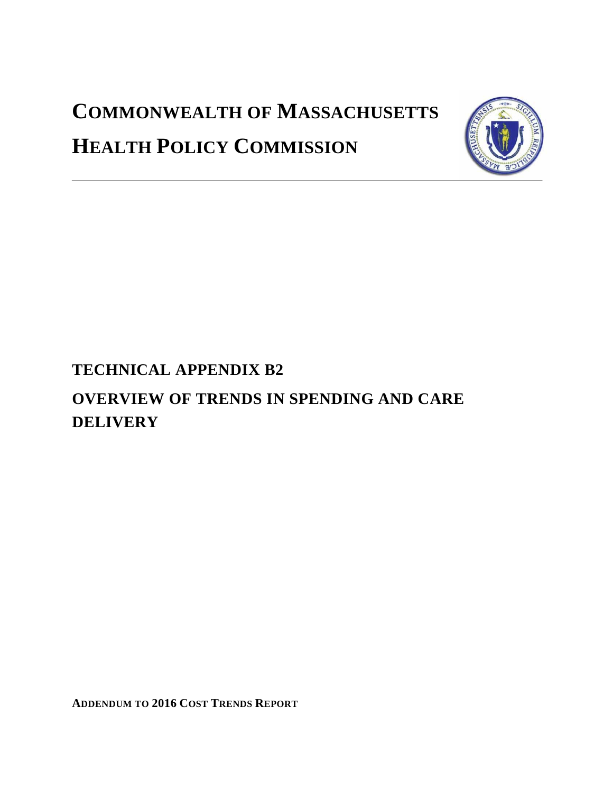# **COMMONWEALTH OF MASSACHUSETTS HEALTH POLICY COMMISSION**



# **TECHNICAL APPENDIX B2**

# **OVERVIEW OF TRENDS IN SPENDING AND CARE DELIVERY**

**ADDENDUM TO 2016 COST TRENDS REPORT**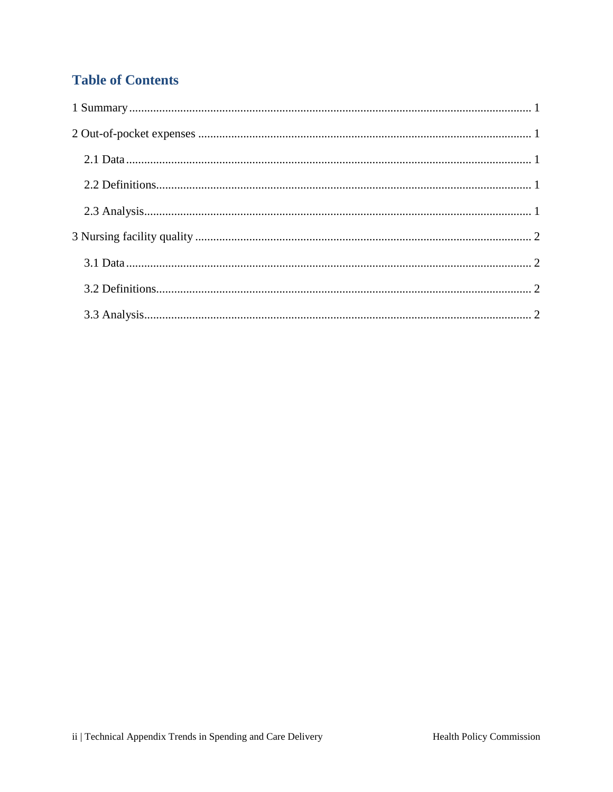# **Table of Contents**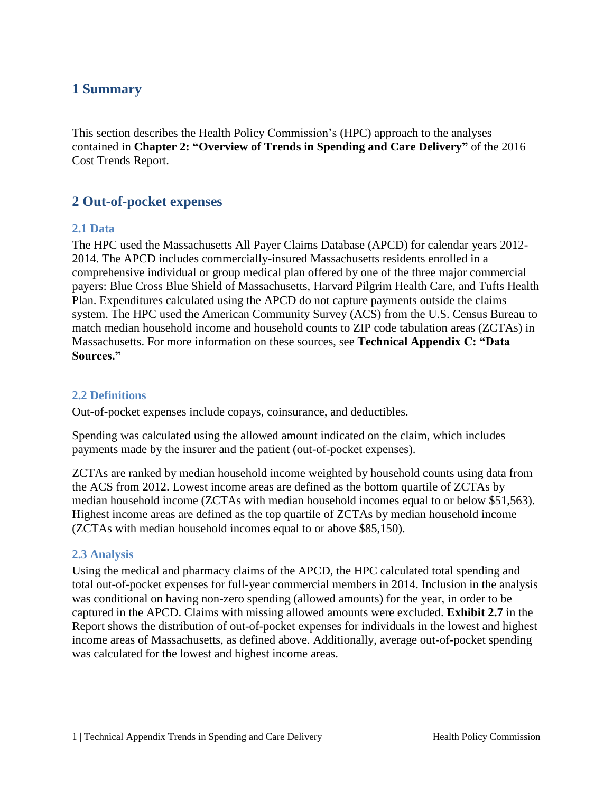### <span id="page-2-0"></span>**1 Summary**

This section describes the Health Policy Commission's (HPC) approach to the analyses contained in **Chapter 2: "Overview of Trends in Spending and Care Delivery"** of the 2016 Cost Trends Report.

## <span id="page-2-1"></span>**2 Out-of-pocket expenses**

#### <span id="page-2-2"></span>**2.1 Data**

The HPC used the Massachusetts All Payer Claims Database (APCD) for calendar years 2012- 2014. The APCD includes commercially-insured Massachusetts residents enrolled in a comprehensive individual or group medical plan offered by one of the three major commercial payers: Blue Cross Blue Shield of Massachusetts, Harvard Pilgrim Health Care, and Tufts Health Plan. Expenditures calculated using the APCD do not capture payments outside the claims system. The HPC used the American Community Survey (ACS) from the U.S. Census Bureau to match median household income and household counts to ZIP code tabulation areas (ZCTAs) in Massachusetts. For more information on these sources, see **Technical Appendix C: "Data Sources."**

#### <span id="page-2-3"></span>**2.2 Definitions**

Out-of-pocket expenses include copays, coinsurance, and deductibles.

Spending was calculated using the allowed amount indicated on the claim, which includes payments made by the insurer and the patient (out-of-pocket expenses).

ZCTAs are ranked by median household income weighted by household counts using data from the ACS from 2012. Lowest income areas are defined as the bottom quartile of ZCTAs by median household income (ZCTAs with median household incomes equal to or below \$51,563). Highest income areas are defined as the top quartile of ZCTAs by median household income (ZCTAs with median household incomes equal to or above \$85,150).

#### <span id="page-2-4"></span>**2.3 Analysis**

Using the medical and pharmacy claims of the APCD, the HPC calculated total spending and total out-of-pocket expenses for full-year commercial members in 2014. Inclusion in the analysis was conditional on having non-zero spending (allowed amounts) for the year, in order to be captured in the APCD. Claims with missing allowed amounts were excluded. **Exhibit 2.7** in the Report shows the distribution of out-of-pocket expenses for individuals in the lowest and highest income areas of Massachusetts, as defined above. Additionally, average out-of-pocket spending was calculated for the lowest and highest income areas.